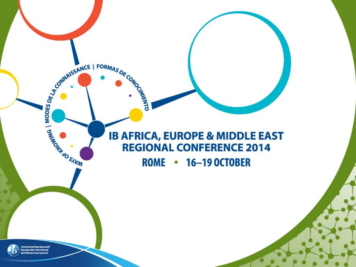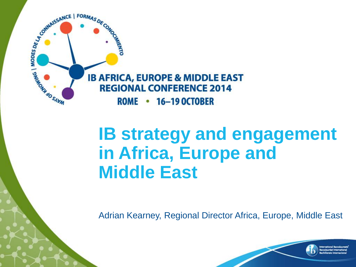

## **IB strategy and engagement in Africa, Europe and Middle East**

Adrian Kearney, Regional Director Africa, Europe, Middle East

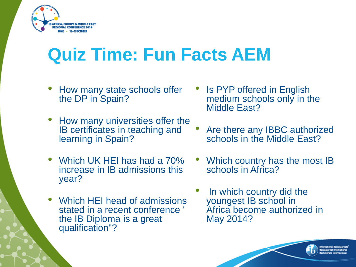

# **Quiz Time: Fun Facts AEM**

- How many state schools offer the DP in Spain?
- How many universities offer the IB certificates in teaching and learning in Spain?
- Which UK HEI has had a 70% increase in IB admissions this year?
- Which HEI head of admissions stated in a recent conference ' the IB Diploma is a great qualification"?
- Is PYP offered in English medium schools only in the Middle East?
- Are there any IBBC authorized schools in the Middle East?
- Which country has the most IB schools in Africa?
- In which country did the youngest IB school in Africa become authorized in May 2014?

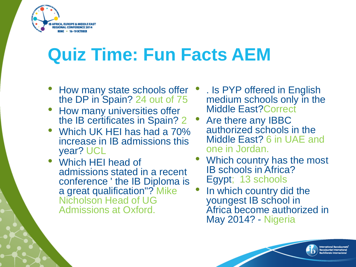

# **Quiz Time: Fun Facts AEM**

- How many state schools offer the DP in Spain? 24 out of 75
- How many universities offer the IB certificates in Spain? 2
- Which UK HEI has had a 70% increase in IB admissions this year? UCL
- Which HEI head of admissions stated in a recent conference ' the IB Diploma is a great qualification"? Mike Nicholson Head of UG Admissions at Oxford.
- . Is PYP offered in English medium schools only in the Middle East?Correct
- Are there any IBBC authorized schools in the Middle East? 6 in UAE and one in Jordan.
- Which country has the most IB schools in Africa? Egypt; 13 schools
- In which country did the youngest IB school in Africa become authorized in May 2014? - Nigeria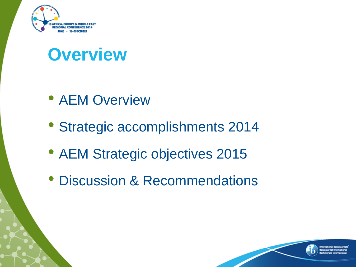

## **Overview**

- AEM Overview
- Strategic accomplishments 2014
- AEM Strategic objectives 2015
- Discussion & Recommendations

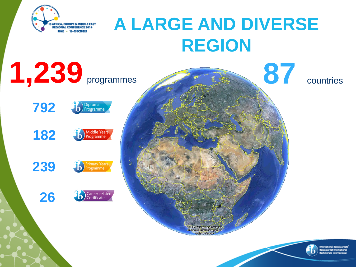

# **A LARGE AND DIVERSE REGION**

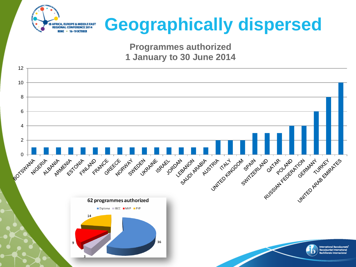

# **Geographically dispersed**

**Programmes authorized 1 January to 30 June 2014**

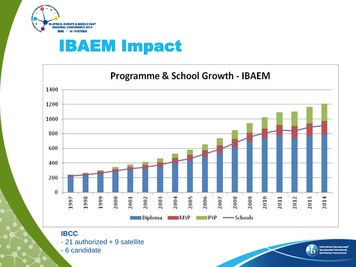

### IBAEM Impact



**IBCC** - 21 authorized + 9 satellite - 6 candidate

mational Baccalaurea accalauréat International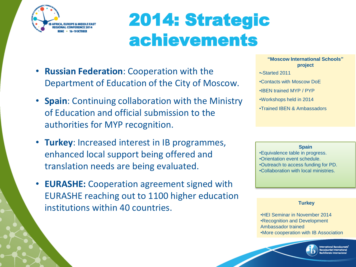

# 2014: Strategic achievements

- **Russian Federation**: Cooperation with the Department of Education of the City of Moscow.
- **Spain**: Continuing collaboration with the Ministry of Education and official submission to the authorities for MYP recognition.
- **Turkey**: Increased interest in IB programmes, enhanced local support being offered and translation needs are being evaluated.
- **EURASHE:** Cooperation agreement signed with EURASHE reaching out to 1100 higher education institutions within 40 countries.

**"Moscow International Schools" project** •**-**Started 2011 •Contacts with Moscow DoE •IBEN trained MYP / PYP •Workshops held in 2014 •Trained IBEN & Ambassadors

#### **Spain**

•Equivalence table in progress. •Orientation event schedule. •Outreach to access funding for PD. •Collaboration with local ministries.

#### **Turkey**

•HEI Seminar in November 2014 •Recognition and Development Ambassador trained •More cooperation with IB Association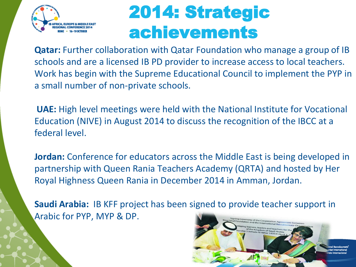

# 2014: Strategic achievements

**Qatar:** Further collaboration with Qatar Foundation who manage a group of IB schools and are a licensed IB PD provider to increase access to local teachers. Work has begin with the Supreme Educational Council to implement the PYP in a small number of non-private schools.

**UAE:** High level meetings were held with the National Institute for Vocational Education (NIVE) in August 2014 to discuss the recognition of the IBCC at a federal level.

**Jordan:** Conference for educators across the Middle East is being developed in partnership with Queen Rania Teachers Academy (QRTA) and hosted by Her Royal Highness Queen Rania in December 2014 in Amman, Jordan.

**Saudi Arabia:** IB KFF project has been signed to provide teacher support in Arabic for PYP, MYP & DP.

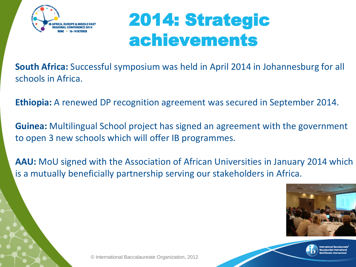

# 2014: Strategic achievements

**South Africa:** Successful symposium was held in April 2014 in Johannesburg for all schools in Africa.

**Ethiopia:** A renewed DP recognition agreement was secured in September 2014.

**Guinea:** Multilingual School project has signed an agreement with the government to open 3 new schools which will offer IB programmes.

**AAU:** MoU signed with the Association of African Universities in January 2014 which is a mutually beneficially partnership serving our stakeholders in Africa.

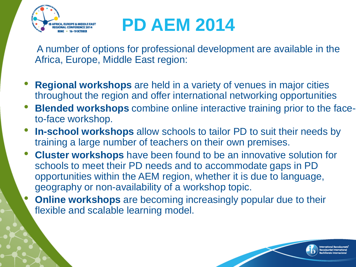

# **PD AEM 2014**

 A number of options for professional development are available in the Africa, Europe, Middle East region:

- **Regional workshops** are held in a variety of venues in major cities throughout the region and offer international networking opportunities
- **Blended workshops** combine online interactive training prior to the faceto-face workshop.
- **In-school workshops** allow schools to tailor PD to suit their needs by training a large number of teachers on their own premises.
- **Cluster workshops** have been found to be an innovative solution for schools to meet their PD needs and to accommodate gaps in PD opportunities within the AEM region, whether it is due to language, geography or non-availability of a workshop topic.
- **Online workshops** are becoming increasingly popular due to their flexible and scalable learning model.

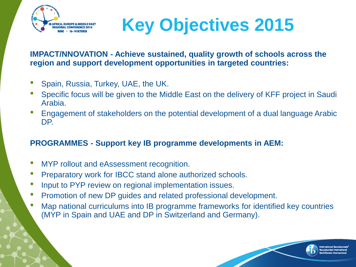



**IMPACT/NNOVATION - Achieve sustained, quality growth of schools across the region and support development opportunities in targeted countries:**

- Spain, Russia, Turkey, UAE, the UK.
- Specific focus will be given to the Middle East on the delivery of KFF project in Saudi Arabia.
- Engagement of stakeholders on the potential development of a dual language Arabic DP.

### **PROGRAMMES - Support key IB programme developments in AEM:**

- MYP rollout and eAssessment recognition.
- Preparatory work for IBCC stand alone authorized schools.
- Input to PYP review on regional implementation issues.
- Promotion of new DP guides and related professional development.
- Map national curriculums into IB programme frameworks for identified key countries (MYP in Spain and UAE and DP in Switzerland and Germany).

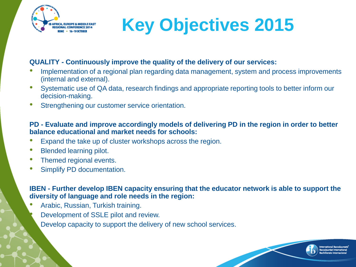

# **Key Objectives 2015**

### **QUALITY - Continuously improve the quality of the delivery of our services:**

- Implementation of a regional plan regarding data management, system and process improvements (internal and external).
- Systematic use of QA data, research findings and appropriate reporting tools to better inform our decision-making.
- Strengthening our customer service orientation.

### **PD - Evaluate and improve accordingly models of delivering PD in the region in order to better balance educational and market needs for schools:**

- Expand the take up of cluster workshops across the region.
- Blended learning pilot.
- Themed regional events.
- Simplify PD documentation.

### **IBEN - Further develop IBEN capacity ensuring that the educator network is able to support the diversity of language and role needs in the region:**

- Arabic, Russian, Turkish training.
	- Development of SSLE pilot and review.
	- Develop capacity to support the delivery of new school services.

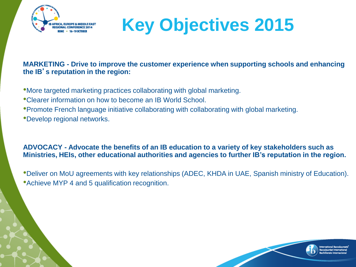



**MARKETING - Drive to improve the customer experience when supporting schools and enhancing the IB**'**s reputation in the region:**

- •More targeted marketing practices collaborating with global marketing.
- •Clearer information on how to become an IB World School.
- •Promote French language initiative collaborating with collaborating with global marketing.
- •Develop regional networks.

### **ADVOCACY - Advocate the benefits of an IB education to a variety of key stakeholders such as Ministries, HEIs, other educational authorities and agencies to further IB's reputation in the region.**

•Deliver on MoU agreements with key relationships (ADEC, KHDA in UAE, Spanish ministry of Education). •Achieve MYP 4 and 5 qualification recognition.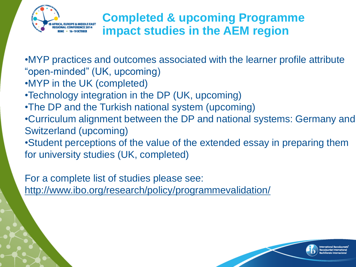

### **Completed & upcoming Programme impact studies in the AEM region**

•MYP practices and outcomes associated with the learner profile attribute "open-minded" (UK, upcoming)

- •MYP in the UK (completed)
- •Technology integration in the DP (UK, upcoming)
- •The DP and the Turkish national system (upcoming)
- •Curriculum alignment between the DP and national systems: Germany and Switzerland (upcoming)
- •Student perceptions of the value of the extended essay in preparing them for university studies (UK, completed)

For a complete list of studies please see:

<http://www.ibo.org/research/policy/programmevalidation/>

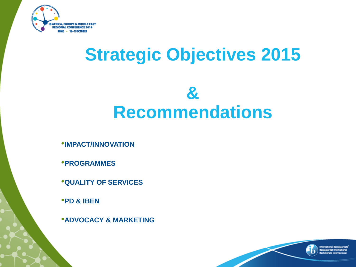

# **Strategic Objectives 2015**

## **& Recommendations**

•**IMPACT/INNOVATION**

•**PROGRAMMES** 

•**QUALITY OF SERVICES**

•**PD & IBEN**

•**ADVOCACY & MARKETING**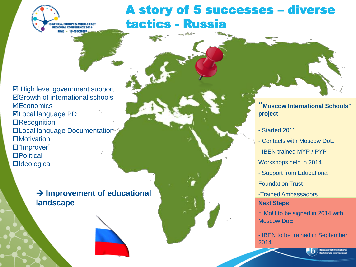

A story of 5 successes – diverse tactics - Russia

 $\boxtimes$  High level government support Growth of international schools **⊠Economics** Local language PD **ORecognition** Local language Documentation □Motivation □ "Improver" **□Political □**Ideological

> **Improvement of educational landscape**



**"Moscow International Schools" project**

- **-** Started 2011
- Contacts with Moscow DoE
- IBEN trained MYP / PYP -
- Workshops held in 2014
- Support from Educational
- Foundation Trust
- -Trained Ambassadors
- **Next Steps**
- MoU to be signed in 2014 with Moscow DoE

- IBEN to be trained in September 2014

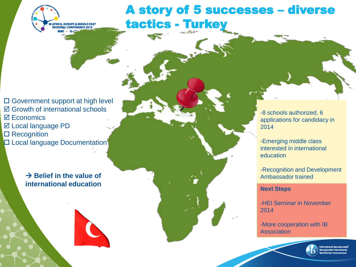

A story of 5 successes – diverse tactics - Turkey

 Government support at high level **Ø** Growth of international schools  $\overline{M}$  Economics  $⊓$  **Local language PD □ Recognition Local language Documentation** 

> $\rightarrow$  Belief in the value of **international education**



-8 schools authorized, 6 applications for candidacy in 2014

-Emerging middle class interested in international education

-Recognition and Development Ambassador trained

#### **Next Steps**

-HEI Seminar in November 2014

-More cooperation with IB Association

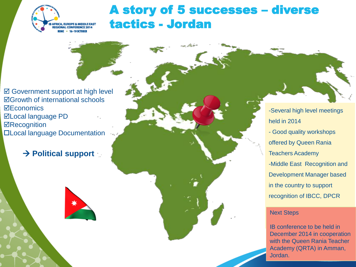

### A story of 5 successes – diverse tactics - Jordan

**Ø** Government support at high level Growth of international schools **⊠Economics** Local language PD **ØRecognition** Local language Documentation

### **→ Political support**



-Several high level meetings held in 2014 - Good quality workshops offered by Queen Rania Teachers Academy -Middle East Recognition and Development Manager based in the country to support recognition of IBCC, DPCR

#### Next Steps

IB conference to be held in December 2014 in cooperation with the Queen Rania Teacher Academy (QRTA) in Amman, Jordan.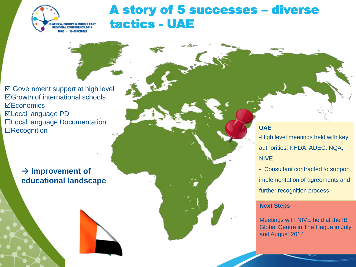

### A story of 5 successes – diverse tactics - UAE

**Ø** Government support at high level Growth of international schools **⊠Economics** Local language PD Local language Documentation **ORecognition** 

### **→ Improvement of educational landscape**



### **UAE**

-High level meetings held with key authorities: KHDA, ADEC, NQA, NIVE

- Consultant contracted to support implementation of agreements and further recognition process

#### **Next Steps**

Meetings with NIVE held at the IB Global Centre in The Hague in July and August 2014